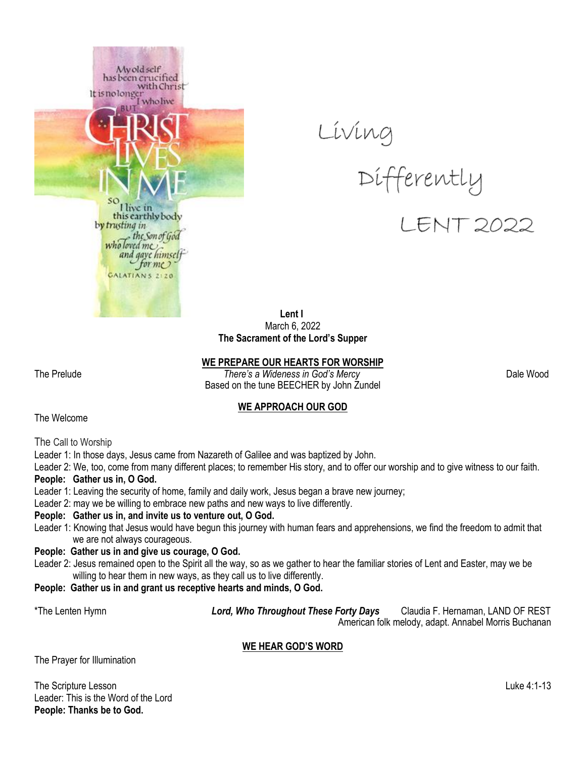





 **Lent I** March 6, 2022 **The Sacrament of the Lord's Supper**

**WE PREPARE OUR HEARTS FOR WORSHIP**

The Prelude *There's a Wideness in God's Mercy* Dale Wood Based on the tune BEECHER by John Zundel

#### **WE APPROACH OUR GOD**

The Welcome

The Call to Worship

Leader 1: In those days, Jesus came from Nazareth of Galilee and was baptized by John.

Leader 2: We, too, come from many different places; to remember His story, and to offer our worship and to give witness to our faith.

#### **People: Gather us in, O God.**

- Leader 1: Leaving the security of home, family and daily work, Jesus began a brave new journey;
- Leader 2: may we be willing to embrace new paths and new ways to live differently.

#### **People: Gather us in, and invite us to venture out, O God.**

Leader 1: Knowing that Jesus would have begun this journey with human fears and apprehensions, we find the freedom to admit that we are not always courageous.

#### **People: Gather us in and give us courage, O God.**

- Leader 2: Jesus remained open to the Spirit all the way, so as we gather to hear the familiar stories of Lent and Easter, may we be willing to hear them in new ways, as they call us to live differently.
- **People: Gather us in and grant us receptive hearts and minds, O God.**

\*The Lenten Hymn *Lord, Who Throughout These Forty Days* Claudia F. Hernaman, LAND OF REST American folk melody, adapt. Annabel Morris Buchanan

#### **WE HEAR GOD'S WORD**

The Prayer for Illumination

The Scripture Lesson Luke 4:1-13 Leader: This is the Word of the Lord **People: Thanks be to God.**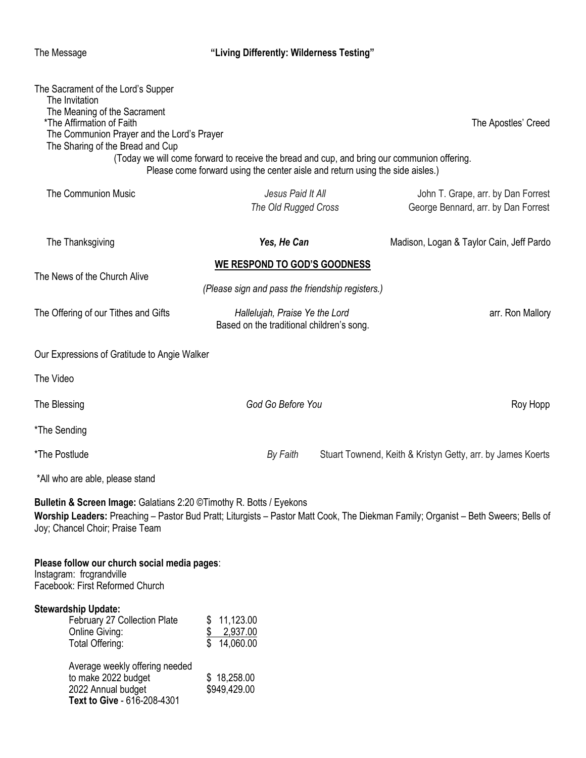The Message

**Text to Give** - 616-208-4301

# The Message **"Living Differently: Wilderness Testing"**

| The Sacrament of the Lord's Supper<br>The Invitation<br>The Meaning of the Sacrament<br>*The Affirmation of Faith<br>The Communion Prayer and the Lord's Prayer<br>The Sharing of the Bread and Cup                                           | (Today we will come forward to receive the bread and cup, and bring our communion offering.<br>Please come forward using the center aisle and return using the side aisles.) | The Apostles' Creed                                                       |  |
|-----------------------------------------------------------------------------------------------------------------------------------------------------------------------------------------------------------------------------------------------|------------------------------------------------------------------------------------------------------------------------------------------------------------------------------|---------------------------------------------------------------------------|--|
| <b>The Communion Music</b>                                                                                                                                                                                                                    | Jesus Paid It All<br>The Old Rugged Cross                                                                                                                                    | John T. Grape, arr. by Dan Forrest<br>George Bennard, arr. by Dan Forrest |  |
| The Thanksgiving                                                                                                                                                                                                                              | Yes, He Can                                                                                                                                                                  | Madison, Logan & Taylor Cain, Jeff Pardo                                  |  |
| <b>WE RESPOND TO GOD'S GOODNESS</b>                                                                                                                                                                                                           |                                                                                                                                                                              |                                                                           |  |
| The News of the Church Alive<br>(Please sign and pass the friendship registers.)                                                                                                                                                              |                                                                                                                                                                              |                                                                           |  |
| The Offering of our Tithes and Gifts                                                                                                                                                                                                          | Hallelujah, Praise Ye the Lord<br>Based on the traditional children's song.                                                                                                  | arr. Ron Mallory                                                          |  |
| Our Expressions of Gratitude to Angie Walker                                                                                                                                                                                                  |                                                                                                                                                                              |                                                                           |  |
| The Video                                                                                                                                                                                                                                     |                                                                                                                                                                              |                                                                           |  |
| The Blessing                                                                                                                                                                                                                                  | God Go Before You                                                                                                                                                            | Roy Hopp                                                                  |  |
| *The Sending                                                                                                                                                                                                                                  |                                                                                                                                                                              |                                                                           |  |
| *The Postlude                                                                                                                                                                                                                                 | By Faith                                                                                                                                                                     | Stuart Townend, Keith & Kristyn Getty, arr. by James Koerts               |  |
| *All who are able, please stand                                                                                                                                                                                                               |                                                                                                                                                                              |                                                                           |  |
| Bulletin & Screen Image: Galatians 2:20 © Timothy R. Botts / Eyekons<br>Worship Leaders: Preaching - Pastor Bud Pratt; Liturgists - Pastor Matt Cook, The Diekman Family; Organist - Beth Sweers; Bells of<br>Joy; Chancel Choir; Praise Team |                                                                                                                                                                              |                                                                           |  |
| Please follow our church social media pages:<br>Instagram: frcgrandville<br>Facebook: First Reformed Church                                                                                                                                   |                                                                                                                                                                              |                                                                           |  |
| <b>Stewardship Update:</b><br>February 27 Collection Plate<br>Online Giving:<br>Total Offering:                                                                                                                                               | 11,123.00<br>2,937.00<br>14,060.00                                                                                                                                           |                                                                           |  |
| Average weekly offering needed<br>to make 2022 budget<br>2022 Annual budget                                                                                                                                                                   | \$18,258.00<br>\$949,429.00                                                                                                                                                  |                                                                           |  |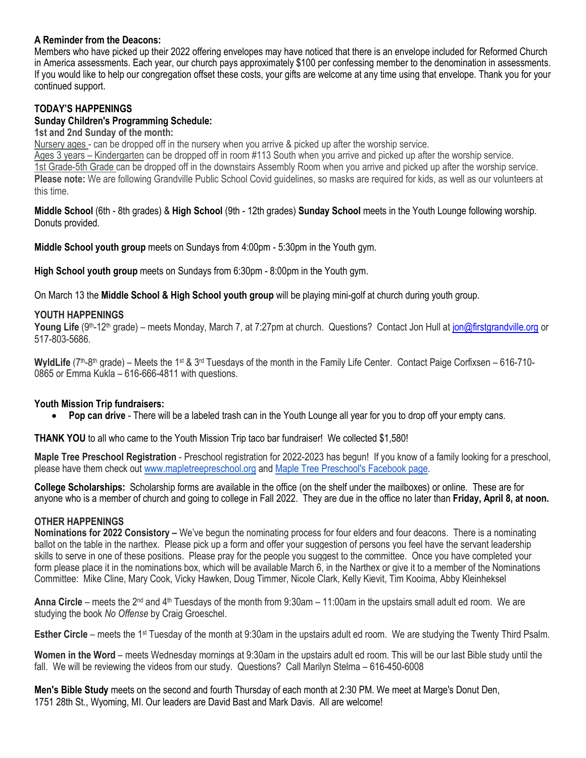#### **A Reminder from the Deacons:**

Members who have picked up their 2022 offering envelopes may have noticed that there is an envelope included for Reformed Church in America assessments. Each year, our church pays approximately \$100 per confessing member to the denomination in assessments. If you would like to help our congregation offset these costs, your gifts are welcome at any time using that envelope. Thank you for your continued support.

## **TODAY'S HAPPENINGS**

#### **Sunday Children's Programming Schedule:**

#### **1st and 2nd Sunday of the month:**

Nursery ages - can be dropped off in the nursery when you arrive & picked up after the worship service.

Ages 3 years – Kindergarten can be dropped off in room #113 South when you arrive and picked up after the worship service. 1st Grade-5th Grade can be dropped off in the downstairs Assembly Room when you arrive and picked up after the worship service. **Please note:** We are following Grandville Public School Covid guidelines, so masks are required for kids, as well as our volunteers at this time.

**Middle School** (6th - 8th grades) & **High School** (9th - 12th grades) **Sunday School** meets in the Youth Lounge following worship. Donuts provided.

**Middle School youth group** meets on Sundays from 4:00pm - 5:30pm in the Youth gym.

**High School youth group** meets on Sundays from 6:30pm - 8:00pm in the Youth gym.

On March 13 the **Middle School & High School youth group** will be playing mini-golf at church during youth group.

#### **YOUTH HAPPENINGS**

**Young Life** (9<sup>th</sup>-12<sup>th</sup> grade) – meets Monday, March 7, at 7:27pm at church. Questions? Contact Jon Hull at [jon@firstgrandville.org](mailto:jon@firstgrandville.org) or 517-803-5686.

WyldLife (7<sup>th</sup>-8<sup>th</sup> grade) – Meets the 1<sup>st</sup> & 3<sup>rd</sup> Tuesdays of the month in the Family Life Center. Contact Paige Corfixsen – 616-710-0865 or Emma Kukla – 616-666-4811 with questions.

#### **Youth Mission Trip fundraisers:**

**Pop can drive** - There will be a labeled trash can in the Youth Lounge all year for you to drop off your empty cans.

**THANK YOU** to all who came to the Youth Mission Trip taco bar fundraiser! We collected \$1,580!

**Maple Tree Preschool Registration** - Preschool registration for 2022-2023 has begun! If you know of a family looking for a preschool, please have them check out [www.mapletreepreschool.org](http://www.mapletreepreschool.org/) and [Maple Tree Preschool's](https://www.facebook.com/Maple-Tree-Preschool-107534002642706) Facebook page.

**College Scholarships:** Scholarship forms are available in the office (on the shelf under the mailboxes) or online. These are for anyone who is a member of church and going to college in Fall 2022. They are due in the office no later than **Friday, April 8, at noon.**

#### **OTHER HAPPENINGS**

**Nominations for 2022 Consistory –** We've begun the nominating process for four elders and four deacons. There is a nominating ballot on the table in the narthex. Please pick up a form and offer your suggestion of persons you feel have the servant leadership skills to serve in one of these positions. Please pray for the people you suggest to the committee. Once you have completed your form please place it in the nominations box, which will be available March 6, in the Narthex or give it to a member of the Nominations Committee: Mike Cline, Mary Cook, Vicky Hawken, Doug Timmer, Nicole Clark, Kelly Kievit, Tim Kooima, Abby Kleinheksel

**Anna Circle** – meets the 2<sup>nd</sup> and 4<sup>th</sup> Tuesdays of the month from 9:30am – 11:00am in the upstairs small adult ed room. We are studying the book *No Offense* by Craig Groeschel.

**Esther Circle** – meets the 1<sup>st</sup> Tuesday of the month at 9:30am in the upstairs adult ed room. We are studying the Twenty Third Psalm.

**Women in the Word** – meets Wednesday mornings at 9:30am in the upstairs adult ed room. This will be our last Bible study until the fall. We will be reviewing the videos from our study. Questions? Call Marilyn Stelma – 616-450-6008

**Men's Bible Study** meets on the second and fourth Thursday of each month at 2:30 PM. We meet at Marge's Donut Den, 1751 28th St., Wyoming, MI. Our leaders are David Bast and Mark Davis. All are welcome!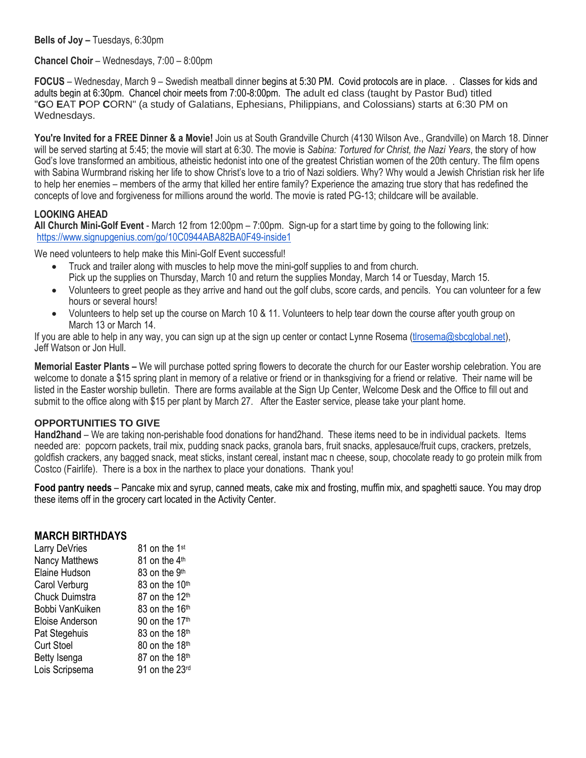**Bells of Joy –** Tuesdays, 6:30pm

#### **Chancel Choir** – Wednesdays, 7:00 – 8:00pm

**FOCUS** – Wednesday, March 9 – Swedish meatball dinner begins at 5:30 PM. Covid protocols are in place. . Classes for kids and adults begin at 6:30pm. Chancel choir meets from 7:00-8:00pm. The adult ed class (taught by Pastor Bud) titled "**G**O **E**AT **P**OP **C**ORN" (a study of Galatians, Ephesians, Philippians, and Colossians) starts at 6:30 PM on Wednesdays.

You're Invited for a FREE Dinner & a Movie! Join us at South Grandville Church (4130 Wilson Ave., Grandville) on March 18. Dinner will be served starting at 5:45; the movie will start at 6:30. The movie is *Sabina: Tortured for Christ, the Nazi Years*, the story of how God's love transformed an ambitious, atheistic hedonist into one of the greatest Christian women of the 20th century. The film opens with Sabina Wurmbrand risking her life to show Christ's love to a trio of Nazi soldiers. Why? Why would a Jewish Christian risk her life to help her enemies – members of the army that killed her entire family? Experience the amazing true story that has redefined the concepts of love and forgiveness for millions around the world. The movie is rated PG-13; childcare will be available.

#### **LOOKING AHEAD**

**All Church Mini-Golf Event** - March 12 from 12:00pm – 7:00pm. Sign-up for a start time by going to the following link: <https://www.signupgenius.com/go/10C0944ABA82BA0F49-inside1>

We need volunteers to help make this Mini-Golf Event successful!

- Truck and trailer along with muscles to help move the mini-golf supplies to and from church. Pick up the supplies on Thursday, March 10 and return the supplies Monday, March 14 or Tuesday, March 15.
- Volunteers to greet people as they arrive and hand out the golf clubs, score cards, and pencils. You can volunteer for a few hours or several hours!
- Volunteers to help set up the course on March 10 & 11. Volunteers to help tear down the course after youth group on March 13 or March 14.

If you are able to help in any way, you can sign up at the sign up center or contact Lynne Rosema (throsema@sbcglobal.net), Jeff Watson or Jon Hull.

**Memorial Easter Plants –** We will purchase potted spring flowers to decorate the church for our Easter worship celebration. You are welcome to donate a \$15 spring plant in memory of a relative or friend or in thanksgiving for a friend or relative. Their name will be listed in the Easter worship bulletin. There are forms available at the Sign Up Center, Welcome Desk and the Office to fill out and submit to the office along with \$15 per plant by March 27. After the Easter service, please take your plant home.

#### **OPPORTUNITIES TO GIVE**

**Hand2hand** – We are taking non-perishable food donations for hand2hand. These items need to be in individual packets. Items needed are: popcorn packets, trail mix, pudding snack packs, granola bars, fruit snacks, applesauce/fruit cups, crackers, pretzels, goldfish crackers, any bagged snack, meat sticks, instant cereal, instant mac n cheese, soup, chocolate ready to go protein milk from Costco (Fairlife). There is a box in the narthex to place your donations. Thank you!

**Food pantry needs** – Pancake mix and syrup, canned meats, cake mix and frosting, muffin mix, and spaghetti sauce. You may drop these items off in the grocery cart located in the Activity Center.

#### **MARCH BIRTHDAYS**

| Larry DeVries         | 81 on the 1 <sup>st</sup>  |
|-----------------------|----------------------------|
| <b>Nancy Matthews</b> | 81 on the 4 <sup>th</sup>  |
| Elaine Hudson         | 83 on the 9 <sup>th</sup>  |
| Carol Verburg         | 83 on the 10th             |
| <b>Chuck Duimstra</b> | 87 on the 12 <sup>th</sup> |
| Bobbi VanKuiken       | 83 on the 16th             |
| Eloise Anderson       | 90 on the 17th             |
| Pat Stegehuis         | 83 on the 18th             |
| <b>Curt Stoel</b>     | 80 on the 18th             |
| Betty Isenga          | 87 on the 18th             |
| Lois Scripsema        | 91 on the 23rd             |